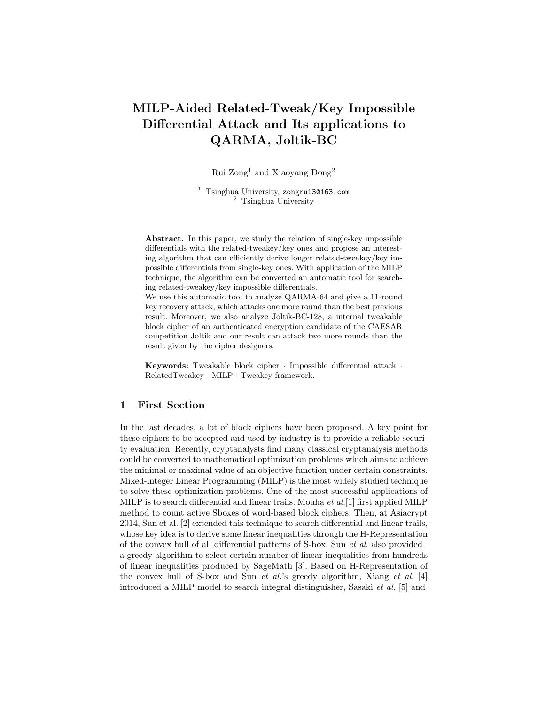# MILP-Aided Related-Tweak/Key Impossible Differential Attack and Its applications to QARMA, Joltik-BC

Rui Zong<sup>1</sup> and Xiaoyang Dong<sup>2</sup>

<sup>1</sup> Tsinghua University, zongrui3@163.com <sup>2</sup> Tsinghua University

Abstract. In this paper, we study the relation of single-key impossible differentials with the related-tweakey/key ones and propose an interesting algorithm that can efficiently derive longer related-tweakey/key impossible differentials from single-key ones. With application of the MILP technique, the algorithm can be converted an automatic tool for searching related-tweakey/key impossible differentials.

We use this automatic tool to analyze QARMA-64 and give a 11-round key recovery attack, which attacks one more round than the best previous result. Moreover, we also analyze Joltik-BC-128, a internal tweakable block cipher of an authenticated encryption candidate of the CAESAR competition Joltik and our result can attack two more rounds than the result given by the cipher designers.

Keywords: Tweakable block cipher · Impossible differential attack · RelatedTweakey · MILP · Tweakey framework.

# 1 First Section

In the last decades, a lot of block ciphers have been proposed. A key point for these ciphers to be accepted and used by industry is to provide a reliable security evaluation. Recently, cryptanalysts find many classical cryptanalysis methods could be converted to mathematical optimization problems which aims to achieve the minimal or maximal value of an objective function under certain constraints. Mixed-integer Linear Programming (MILP) is the most widely studied technique to solve these optimization problems. One of the most successful applications of MILP is to search differential and linear trails. Mouha *et al.*[1] first applied MILP method to count active Sboxes of word-based block ciphers. Then, at Asiacrypt 2014, Sun et al. [2] extended this technique to search differential and linear trails, whose key idea is to derive some linear inequalities through the H-Representation of the convex hull of all differential patterns of S-box. Sun et al. also provided a greedy algorithm to select certain number of linear inequalities from hundreds of linear inequalities produced by SageMath [3]. Based on H-Representation of the convex hull of S-box and Sun et al.'s greedy algorithm, Xiang et al. [4] introduced a MILP model to search integral distinguisher, Sasaki et al. [5] and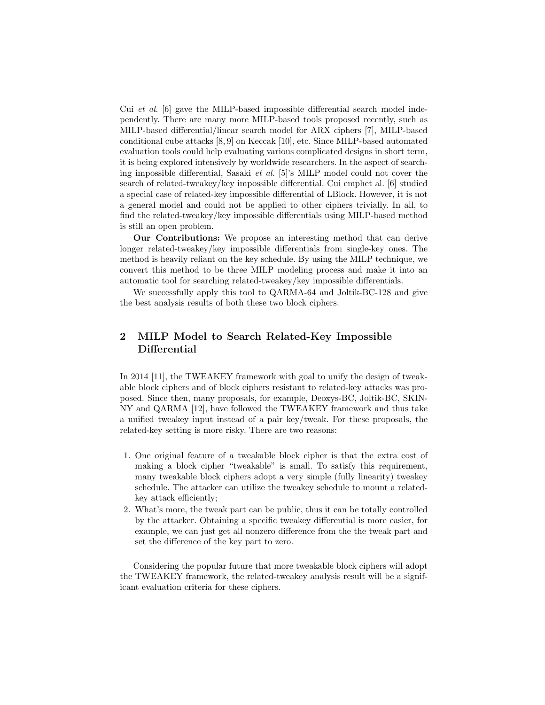Cui et al. [6] gave the MILP-based impossible differential search model independently. There are many more MILP-based tools proposed recently, such as MILP-based differential/linear search model for ARX ciphers [7], MILP-based conditional cube attacks [8, 9] on Keccak [10], etc. Since MILP-based automated evaluation tools could help evaluating various complicated designs in short term, it is being explored intensively by worldwide researchers. In the aspect of searching impossible differential, Sasaki et al. [5]'s MILP model could not cover the search of related-tweakey/key impossible differential. Cui emphet al. [6] studied a special case of related-key impossible differential of LBlock. However, it is not a general model and could not be applied to other ciphers trivially. In all, to find the related-tweakey/key impossible differentials using MILP-based method is still an open problem.

Our Contributions: We propose an interesting method that can derive longer related-tweakey/key impossible differentials from single-key ones. The method is heavily reliant on the key schedule. By using the MILP technique, we convert this method to be three MILP modeling process and make it into an automatic tool for searching related-tweakey/key impossible differentials.

We successfully apply this tool to QARMA-64 and Joltik-BC-128 and give the best analysis results of both these two block ciphers.

# 2 MILP Model to Search Related-Key Impossible Differential

In 2014 [11], the TWEAKEY framework with goal to unify the design of tweakable block ciphers and of block ciphers resistant to related-key attacks was proposed. Since then, many proposals, for example, Deoxys-BC, Joltik-BC, SKIN-NY and QARMA [12], have followed the TWEAKEY framework and thus take a unified tweakey input instead of a pair key/tweak. For these proposals, the related-key setting is more risky. There are two reasons:

- 1. One original feature of a tweakable block cipher is that the extra cost of making a block cipher "tweakable" is small. To satisfy this requirement, many tweakable block ciphers adopt a very simple (fully linearity) tweakey schedule. The attacker can utilize the tweakey schedule to mount a relatedkey attack efficiently;
- 2. What's more, the tweak part can be public, thus it can be totally controlled by the attacker. Obtaining a specific tweakey differential is more easier, for example, we can just get all nonzero difference from the the tweak part and set the difference of the key part to zero.

Considering the popular future that more tweakable block ciphers will adopt the TWEAKEY framework, the related-tweakey analysis result will be a significant evaluation criteria for these ciphers.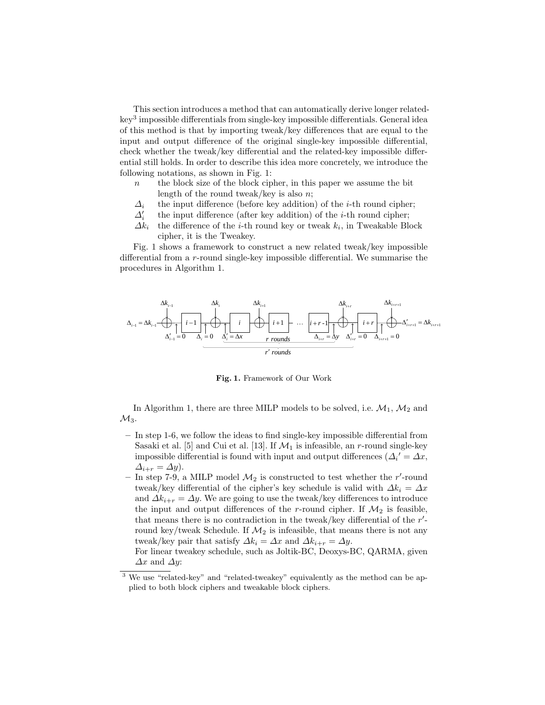This section introduces a method that can automatically derive longer relatedkey<sup>3</sup> impossible differentials from single-key impossible differentials. General idea of this method is that by importing tweak/key differences that are equal to the input and output difference of the original single-key impossible differential, check whether the tweak/key differential and the related-key impossible differential still holds. In order to describe this idea more concretely, we introduce the following notations, as shown in Fig. 1:

- $n$  the block size of the block cipher, in this paper we assume the bit length of the round tweak/key is also  $n$ ;
- $\Delta_i$  the input difference (before key addition) of the *i*-th round cipher;
- $\Delta_i'$ the input difference (after key addition) of the  $i$ -th round cipher;
- $\Delta k_i$  the difference of the *i*-th round key or tweak  $k_i$ , in Tweakable Block cipher, it is the Tweakey.

Fig. 1 shows a framework to construct a new related tweak/key impossible differential from a r-round single-key impossible differential. We summarise the procedures in Algorithm 1.



Fig. 1. Framework of Our Work

In Algorithm 1, there are three MILP models to be solved, i.e.  $\mathcal{M}_1$ ,  $\mathcal{M}_2$  and  $\mathcal{M}_3$ .

- In step 1-6, we follow the ideas to find single-key impossible differential from Sasaki et al. [5] and Cui et al. [13]. If  $\mathcal{M}_1$  is infeasible, an r-round single-key impossible differential is found with input and output differences  $(\Delta_i' = \Delta x,$  $\Delta_{i+r} = \Delta y$ .
- In step 7-9, a MILP model  $\mathcal{M}_2$  is constructed to test whether the r'-round tweak/key differential of the cipher's key schedule is valid with  $\Delta k_i = \Delta x$ and  $\Delta k_{i+r} = \Delta y$ . We are going to use the tweak/key differences to introduce the input and output differences of the r-round cipher. If  $\mathcal{M}_2$  is feasible, that means there is no contradiction in the tweak/key differential of the  $r'$ round key/tweak Schedule. If  $\mathcal{M}_2$  is infeasible, that means there is not any tweak/key pair that satisfy  $\Delta k_i = \Delta x$  and  $\Delta k_{i+r} = \Delta y$ .

For linear tweakey schedule, such as Joltik-BC, Deoxys-BC, QARMA, given  $\Delta x$  and  $\Delta y$ :

<sup>3</sup> We use "related-key" and "related-tweakey" equivalently as the method can be applied to both block ciphers and tweakable block ciphers.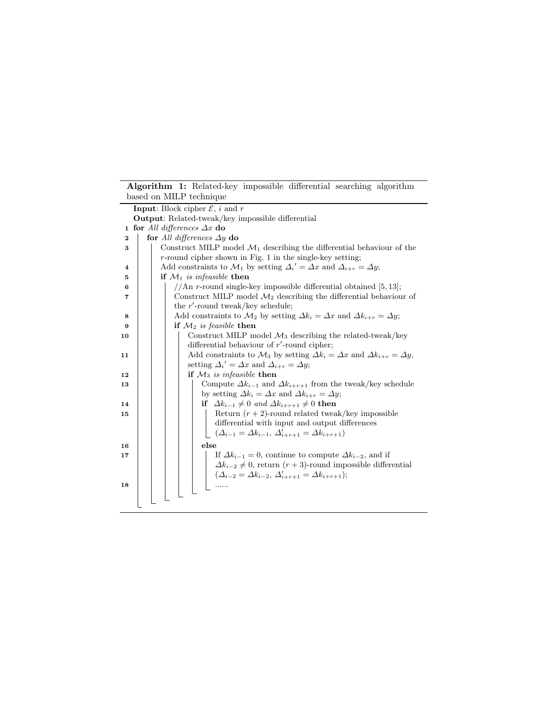|    | Algorithm 1: Related-key impossible differential searching algorithm<br>based on MILP technique                                                     |
|----|-----------------------------------------------------------------------------------------------------------------------------------------------------|
|    | <b>Input:</b> Block cipher $\mathcal{E}$ , <i>i</i> and <i>r</i>                                                                                    |
|    | <b>Output:</b> Related-tweak/key impossible differential                                                                                            |
|    | <b>1 for</b> All differences $\Delta x$ do                                                                                                          |
| 2  | for All differences $\Delta y$ do                                                                                                                   |
| 3  | Construct MILP model $\mathcal{M}_1$ describing the differential behaviour of the                                                                   |
|    | $r$ -round cipher shown in Fig. 1 in the single-key setting;                                                                                        |
| 4  | Add constraints to $\mathcal{M}_1$ by setting $\Delta_i' = \Delta x$ and $\Delta_{i+r} = \Delta y$ ;                                                |
| 5  | if $\mathcal{M}_1$ is infeasible then                                                                                                               |
| 6  | //An r-round single-key impossible differential obtained $[5, 13]$ ;                                                                                |
| 7  | Construct MILP model $\mathcal{M}_2$ describing the differential behaviour of                                                                       |
|    | the $r'$ -round tweak/key schedule;                                                                                                                 |
| 8  | Add constraints to $\mathcal{M}_2$ by setting $\Delta k_i = \Delta x$ and $\Delta k_{i+r} = \Delta y$ ;                                             |
| 9  | if $\mathcal{M}_2$ is feasible then                                                                                                                 |
| 10 | Construct MILP model $\mathcal{M}_3$ describing the related-tweak/key                                                                               |
|    | differential behaviour of $r'$ -round cipher;                                                                                                       |
| 11 | Add constraints to $\mathcal{M}_3$ by setting $\Delta k_i = \Delta x$ and $\Delta k_{i+r} = \Delta y$ ,                                             |
|    | setting $\Delta_i' = \Delta x$ and $\Delta_{i+r} = \Delta y$ ;<br>if $\mathcal{M}_3$ is infeasible then                                             |
| 12 |                                                                                                                                                     |
| 13 | Compute $\Delta k_{i-1}$ and $\Delta k_{i+r+1}$ from the tweak/key schedule<br>by setting $\Delta k_i = \Delta x$ and $\Delta k_{i+r} = \Delta y$ ; |
| 14 | if $\Delta k_{i-1} \neq 0$ and $\Delta k_{i+r+1} \neq 0$ then                                                                                       |
| 15 | Return $(r + 2)$ -round related tweak/key impossible                                                                                                |
|    | differential with input and output differences                                                                                                      |
|    | $(\Delta_{i-1} = \Delta k_{i-1}, \Delta'_{i+r+1} = \Delta k_{i+r+1})$                                                                               |
| 16 | else                                                                                                                                                |
| 17 | If $\Delta k_{i-1} = 0$ , continue to compute $\Delta k_{i-2}$ , and if                                                                             |
|    | $\Delta k_{i-2} \neq 0$ , return $(r+3)$ -round impossible differential                                                                             |
|    | $(\Delta_{i-2} = \Delta k_{i-2}, \Delta'_{i+r+1} = \Delta k_{i+r+1});$                                                                              |
| 18 | .                                                                                                                                                   |
|    |                                                                                                                                                     |
|    |                                                                                                                                                     |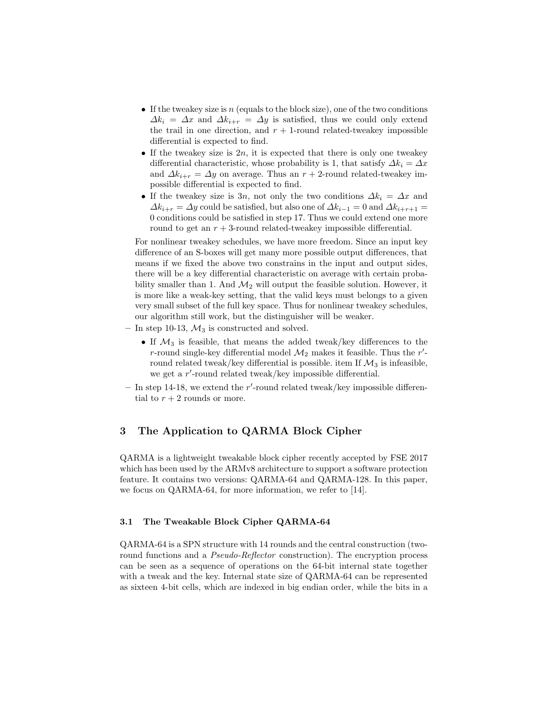- If the tweakey size is n (equals to the block size), one of the two conditions  $\Delta k_i = \Delta x$  and  $\Delta k_{i+r} = \Delta y$  is satisfied, thus we could only extend the trail in one direction, and  $r + 1$ -round related-tweakey impossible differential is expected to find.
- If the tweakey size is  $2n$ , it is expected that there is only one tweakey differential characteristic, whose probability is 1, that satisfy  $\Delta k_i = \Delta x$ and  $\Delta k_{i+r} = \Delta y$  on average. Thus an  $r + 2$ -round related-tweakey impossible differential is expected to find.
- If the tweakey size is 3n, not only the two conditions  $\Delta k_i = \Delta x$  and  $\Delta k_{i+r} = \Delta y$  could be satisfied, but also one of  $\Delta k_{i-1} = 0$  and  $\Delta k_{i+r+1} =$ 0 conditions could be satisfied in step 17. Thus we could extend one more round to get an  $r + 3$ -round related-tweakey impossible differential.

For nonlinear tweakey schedules, we have more freedom. Since an input key difference of an S-boxes will get many more possible output differences, that means if we fixed the above two constrains in the input and output sides, there will be a key differential characteristic on average with certain probability smaller than 1. And  $\mathcal{M}_2$  will output the feasible solution. However, it is more like a weak-key setting, that the valid keys must belongs to a given very small subset of the full key space. Thus for nonlinear tweakey schedules, our algorithm still work, but the distinguisher will be weaker.

- In step 10-13,  $\mathcal{M}_3$  is constructed and solved.
	- If  $\mathcal{M}_3$  is feasible, that means the added tweak/key differences to the r-round single-key differential model  $\mathcal{M}_2$  makes it feasible. Thus the r'round related tweak/key differential is possible. item If  $\mathcal{M}_3$  is infeasible, we get a  $r'$ -round related tweak/key impossible differential.
- In step 14-18, we extend the  $r'$ -round related tweak/key impossible differential to  $r + 2$  rounds or more.

# 3 The Application to QARMA Block Cipher

QARMA is a lightweight tweakable block cipher recently accepted by FSE 2017 which has been used by the ARMv8 architecture to support a software protection feature. It contains two versions: QARMA-64 and QARMA-128. In this paper, we focus on QARMA-64, for more information, we refer to [14].

## 3.1 The Tweakable Block Cipher QARMA-64

QARMA-64 is a SPN structure with 14 rounds and the central construction (tworound functions and a *Pseudo-Reflector* construction). The encryption process can be seen as a sequence of operations on the 64-bit internal state together with a tweak and the key. Internal state size of QARMA-64 can be represented as sixteen 4-bit cells, which are indexed in big endian order, while the bits in a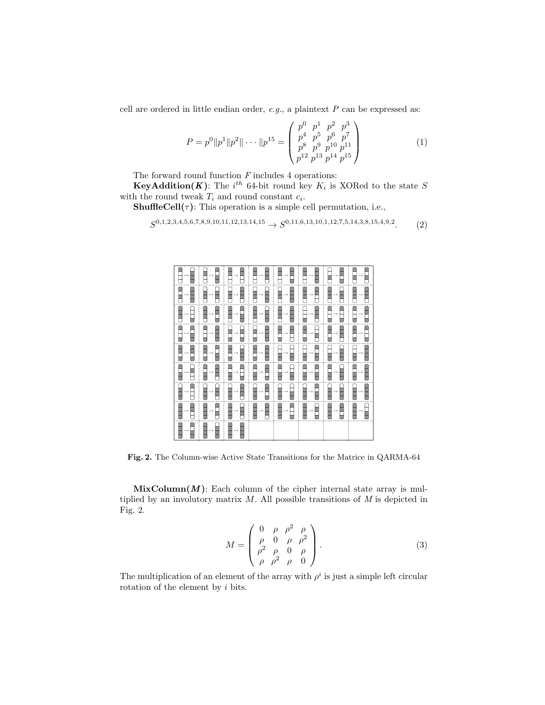cell are ordered in little endian order,  $e.g.,$  a plaintext  $P$  can be expressed as:

$$
P = p^{0} \|p^{1}\|p^{2}\| \cdots \|p^{15}\n =\n \begin{pmatrix}\n p^{0} & p^{1} & p^{2} & p^{3} \\
 p^{4} & p^{5} & p^{6} & p^{7} \\
 p^{8} & p^{9} & p^{10} & p^{11} \\
 p^{12} & p^{13} & p^{14} & p^{15}\n \end{pmatrix}\n \tag{1}
$$

The forward round function  ${\cal F}$  includes 4 operations:

**KeyAddition(K)**: The  $i^{th}$  64-bit round key  $K_i$  is XORed to the state S with the round tweak  $T_i$  and round constant  $c_i$ .

 $\mathbf{ShuffleCell}(\tau)$ : This operation is a simple cell permutation, i.e.,

$$
S^{0,1,2,3,4,5,6,7,8,9,10,11,12,13,14,15} \to S^{0,11,6,13,10,1,12,7,5,14,3,8,15,4,9,2}.\tag{2}
$$

|  | ▊▖▊▕▊ <u>▖▊▕</u> ▊▖▊▕▊▖▊▏▊▖▊▕▊▖▊▏▊▖▊▕                            |  |  |  |
|--|------------------------------------------------------------------|--|--|--|
|  | <b>▊</b> ⋼▊┊▊⋼▊┊▊⋼▊┊▊⋼▊┊▊⋼▊┊▊⋼▊┊▊⋼▊┊▊⋼▊                          |  |  |  |
|  | ▊ <u>▖</u> ▏▏▊▖▊▏▊ <u>▖</u> ▊▕▊▖▊▏▓▖▊▕▊▖▊▕▊▖▊▏▊▖▊▕               |  |  |  |
|  | <b>B</b> <sub>?</sub> N {B <sub>?</sub> N {B}N {B}N {B}N {B}N {B |  |  |  |
|  | ▊ <u>▖▊▕▊</u> ▖▊▕▊▖▊▕▊▖▊▕▊▖▊▕▊▖▊▕▊▖▊▏▏                           |  |  |  |
|  | <b>Ω</b> ⊹Q┊Ω∽Q┊Q∽Q┊Q∽Q┊Q∽Q┊Q∽Q┊Q∽Q                              |  |  |  |
|  | ▊ <u>┄</u> ▊▕▊┄▊▕▊┄▊▕▊┄▊▕▊┄▊▏▊┄▊▕▊┄▊▏▊┄                          |  |  |  |
|  | ▊⋼▊▏▊⋼▊▏▊⋼▊▕▊⋼▊▕▊⋼▊▏▊⋼⊟▕▊⋼▊▏▊⋼▊                                  |  |  |  |
|  | ▊▃▊▕▊▃▊▏▊▃▊▏                                                     |  |  |  |

Fig. 2. The Column-wise Active State Transitions for the Matrice in QARMA-64

 $MixColumn(M)$ : Each column of the cipher internal state array is multiplied by an involutory matrix  $M$ . All possible transitions of  $M$  is depicted in Fig. 2.

$$
M = \begin{pmatrix} 0 & \rho & \rho^2 & \rho \\ \rho & 0 & \rho & \rho^2 \\ \rho^2 & \rho & 0 & \rho \\ \rho & \rho^2 & \rho & 0 \end{pmatrix} .
$$
 (3)

The multiplication of an element of the array with  $\rho^i$  is just a simple left circular rotation of the element by i bits.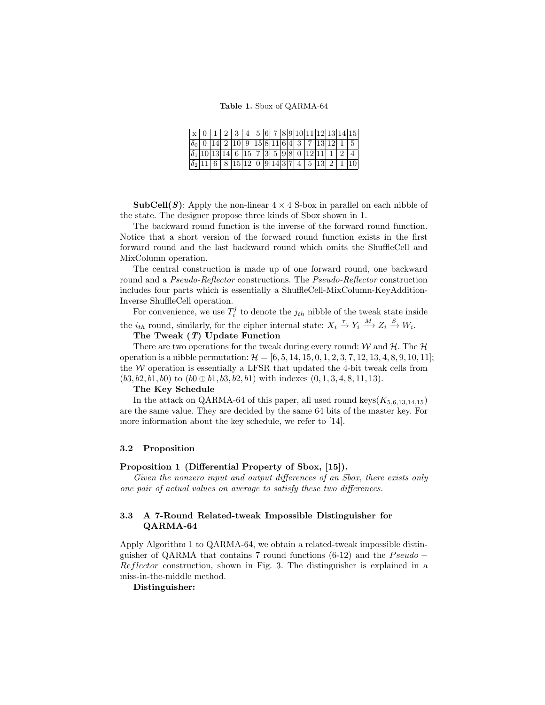|                                              |  | 4                                   |  |  |  |  | 5 6 7 8 9 10 11 12 13 14 15                        |  |
|----------------------------------------------|--|-------------------------------------|--|--|--|--|----------------------------------------------------|--|
|                                              |  |                                     |  |  |  |  | 2   10   9   15   8   11   6   4   3   7   13   12 |  |
| $ \delta_1 10 13 14 6 15 7 3 5 9 8 0 12 11 $ |  |                                     |  |  |  |  |                                                    |  |
|                                              |  | $ 15 12 $ 0 $ 9 14 3 7 $ 4   5   13 |  |  |  |  | ച                                                  |  |

**SubCell(S):** Apply the non-linear  $4 \times 4$  S-box in parallel on each nibble of the state. The designer propose three kinds of Sbox shown in 1.

The backward round function is the inverse of the forward round function. Notice that a short version of the forward round function exists in the first forward round and the last backward round which omits the ShuffleCell and MixColumn operation.

The central construction is made up of one forward round, one backward round and a Pseudo-Reflector constructions. The Pseudo-Reflector construction includes four parts which is essentially a ShuffleCell-MixColumn-KeyAddition-Inverse ShuffleCell operation.

For convenience, we use  $T_i^j$  to denote the  $j_{th}$  nibble of the tweak state inside the  $i_{th}$  round, similarly, for the cipher internal state:  $X_i \stackrel{\tau}{\to} Y_i \stackrel{M}{\to} Z_i \stackrel{S}{\to} W_i$ .

### The Tweak (T) Update Function

There are two operations for the tweak during every round:  $W$  and  $H$ . The  $H$ operation is a nibble permutation:  $\mathcal{H} = [6, 5, 14, 15, 0, 1, 2, 3, 7, 12, 13, 4, 8, 9, 10, 11]$ ; the  $W$  operation is essentially a LFSR that updated the 4-bit tweak cells from  $(b3, b2, b1, b0)$  to  $(b0 \oplus b1, b3, b2, b1)$  with indexes  $(0, 1, 3, 4, 8, 11, 13)$ .

#### The Key Schedule

In the attack on QARMA-64 of this paper, all used round keys( $K_{5,6,13,14,15}$ ) are the same value. They are decided by the same 64 bits of the master key. For more information about the key schedule, we refer to [14].

#### 3.2 Proposition

#### Proposition 1 (Differential Property of Sbox, [15]).

Given the nonzero input and output differences of an Sbox, there exists only one pair of actual values on average to satisfy these two differences.

#### 3.3 A 7-Round Related-tweak Impossible Distinguisher for QARMA-64

Apply Algorithm 1 to QARMA-64, we obtain a related-tweak impossible distinguisher of QARMA that contains 7 round functions  $(6-12)$  and the Pseudo – Reflector construction, shown in Fig. 3. The distinguisher is explained in a miss-in-the-middle method.

Distinguisher: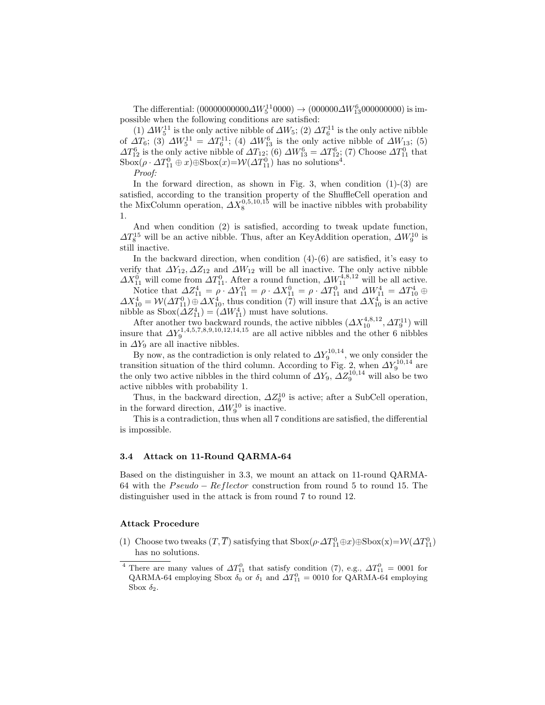The differential:  $(0000000000\Delta W_5^{11}0000) \rightarrow (000000\Delta W_{13}^6000000000)$  is impossible when the following conditions are satisfied:

(1)  $\Delta W_5^{11}$  is the only active nibble of  $\Delta W_5$ ; (2)  $\Delta T_6^{11}$  is the only active nibble of  $\Delta T_6$ ; (3)  $\Delta W_5^{11} = \Delta T_6^{11}$ ; (4)  $\Delta W_{13}^6$  is the only active nibble of  $\Delta W_{13}$ ; (5)  $\Delta T_{12}^6$  is the only active nibble of  $\Delta T_{12}$ ; (6)  $\Delta W_{13}^6 = \Delta T_{12}^6$ ; (7) Choose  $\Delta T_{11}^0$  that  $\text{Sbox}(\rho \cdot \Delta T_{11}^0 \oplus x) \oplus \text{Sbox}(x) = \mathcal{W}(\Delta T_{11}^0)$  has no solutions<sup>4</sup>.

Proof:

In the forward direction, as shown in Fig. 3, when condition  $(1)-(3)$  are satisfied, according to the transition property of the ShuffleCell operation and the MixColumn operation,  $\Delta X_8^{0,5,10,15}$  will be inactive nibbles with probability 1.

And when condition (2) is satisfied, according to tweak update function,  $\Delta T_8^{15}$  will be an active nibble. Thus, after an KeyAddition operation,  $\Delta W_9^{10}$  is still inactive.

In the backward direction, when condition  $(4)-(6)$  are satisfied, it's easy to verify that  $\Delta Y_{12}, \Delta Z_{12}$  and  $\Delta W_{12}$  will be all inactive. The only active nibble  $\Delta X_{11}^0$  will come from  $\Delta T_{11}^0$ . After a round function,  $\Delta W_{11}^{4,8,12}$  will be all active.

Notice that  $\Delta Z_{11}^4 = \rho \cdot \Delta Y_{11}^0 = \rho \cdot \Delta X_{11}^0 = \rho \cdot \Delta T_{11}^0$  and  $\Delta W_{11}^4 = \Delta T_{10}^4 \oplus T_{11}^4$  $\Delta X_{10}^4 = \mathcal{W}(\Delta T_{11}^0) \oplus \Delta X_{10}^4$ , thus condition (7) will insure that  $\Delta X_{10}^4$  is an active nibble as  $\text{Sbox}(\Delta Z_{11}^4) = (\Delta W_{11}^4)$  must have solutions.

After another two backward rounds, the active nibbles  $(\Delta X_{10}^{4,8,12}, \Delta T_9^{11})$  will insure that  $\Delta Y_9^{1,4,5,7,8,9,10,12,14,15}$  are all active nibbles and the other 6 nibbles in  $\Delta Y_9$  are all inactive nibbles.

By now, as the contradiction is only related to  $\Delta Y_9^{10,14}$ , we only consider the transition situation of the third column. According to Fig. 2, when  $\Delta Y_9^{10,14}$  are the only two active nibbles in the third column of  $\Delta Y_9$ ,  $\Delta Z_9^{10,14}$  will also be two active nibbles with probability 1.

Thus, in the backward direction,  $\Delta Z_9^{10}$  is active; after a SubCell operation, in the forward direction,  $\Delta W_9^{10}$  is inactive.

This is a contradiction, thus when all 7 conditions are satisfied, the differential is impossible.

#### 3.4 Attack on 11-Round QARMA-64

Based on the distinguisher in 3.3, we mount an attack on 11-round QARMA-64 with the  $Pseudo - Reflector$  construction from round 5 to round 15. The distinguisher used in the attack is from round 7 to round 12.

#### Attack Procedure

(1) Choose two tweaks  $(T, \overline{T})$  satisfying that  $Sbox(\rho \cdot \Delta T_{11}^0 \oplus x) \oplus Sbox(x) = \mathcal{W}(\Delta T_{11}^0)$ has no solutions.

<sup>&</sup>lt;sup>4</sup> There are many values of  $\Delta T_{11}^0$  that satisfy condition (7), e.g.,  $\Delta T_{11}^0 = 0001$  for QARMA-64 employing Sbox  $\delta_0$  or  $\delta_1$  and  $\Delta T_{11}^0 = 0010$  for QARMA-64 employing Sbox  $\delta_2$ .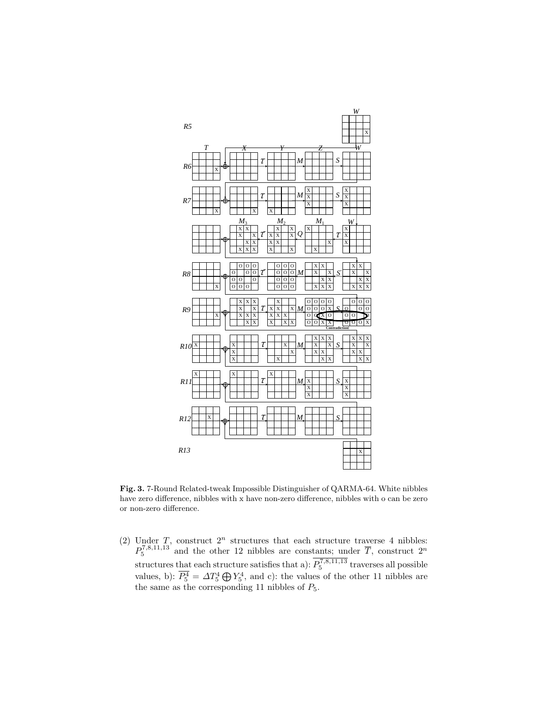

Fig. 3. 7-Round Related-tweak Impossible Distinguisher of QARMA-64. White nibbles have zero difference, nibbles with x have non-zero difference, nibbles with o can be zero or non-zero difference.

(2) Under T, construct  $2^n$  structures that each structure traverse 4 nibbles:  $P_5^{7,8,11,13}$  and the other 12 nibbles are constants; under  $\overline{T}$ , construct  $2^n$ structures that each structure satisfies that a):  $P_5^{7,8,11,13}$  traverses all possible values, b):  $\overline{P_5^4} = \Delta T_5^4 \bigoplus Y_5^4$ , and c): the values of the other 11 nibbles are the same as the corresponding 11 nibbles of  $P_5$ .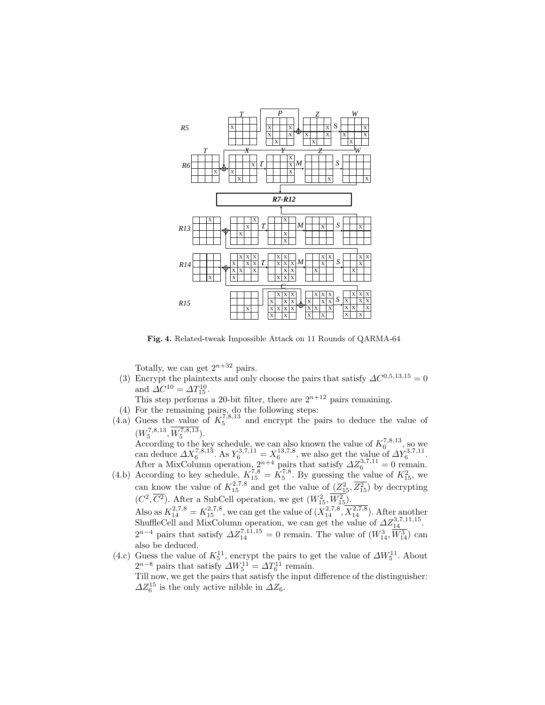

Fig. 4. Related-tweak Impossible Attack on 11 Rounds of QARMA-64

Totally, we can get  $2^{n+32}$  pairs.

(3) Encrypt the plaintexts and only choose the pairs that satisfy  $\Delta C^{0,5,13,15} = 0$ and  $\Delta C^{10} = \Delta T_{15}^{10}$ .

This step performs a 20-bit filter, there are  $2^{n+12}$  pairs remaining.

- (4) For the remaining pairs, do the following steps:
- $(4.a)$  Guess the value of  $K_5^{7,8,13}$  and encrypt the pairs to deduce the value of  $(W_5^{7,8,13}, W_5^{7,8,13}).$

 $\frac{1}{2}$  ( $W_5$ ,  $W_5$ ).<br>According to the key schedule, we can also known the value of  $K_6^{7,8,13}$ , so we can deduce  $\Delta X_6^{7,8,1\bar{3}}$ . As  $Y_6^{3,7,11} = X_6^{13,7,8}$ , we also get the value of  $\Delta Y_6^{3,7,11}$ . After a MixColumn operation,  $2^{n+4}$  pairs that satisfy  $\Delta Z_6^{3,7,11} = 0$  remain.

- (4.b) According to key schedule,  $K_{15}^{7,8} = K_5^{7,8}$ . By guessing the value of  $K_{15}^2$ , we can know the value of  $K_{15}^{2,7,8}$  and get the value of  $(Z_{15}^2, \overline{Z_{15}^2})$  by decrypting  $(C^2, \overline{C^2})$ . After a SubCell operation, we get  $(W^2_{15}, W^2_{15})$ . Also as  $K_{14}^{2,7,8} = K_{15}^{2,7,8}$ , we can get the value of  $(X_{14}^{2,7,8}, \overline{X_{14}^{2,7,8}})$ . After another ShuffleCell and MixColumn operation, we can get the value of  $\Delta Z_{14}^{3,7,11,15}$ .  $2^{n-4}$  pairs that satisfy  $\Delta Z_{14}^{7,11,15} = 0$  remain. The value of  $(W_{14}^3, \overline{W_{14}^3})$  can also be deduced.
- (4.c) Guess the value of  $K_5^{11}$ , encrypt the pairs to get the value of  $\Delta W_5^{11}$ . About  $2^{n-8}$  pairs that satisfy  $\Delta W_5^{11} = \Delta T_6^{11}$  remain. Till now, we get the pairs that satisfy the input difference of the distinguisher:  $\Delta Z_6^{15}$  is the only active nibble in  $\Delta Z_6$ .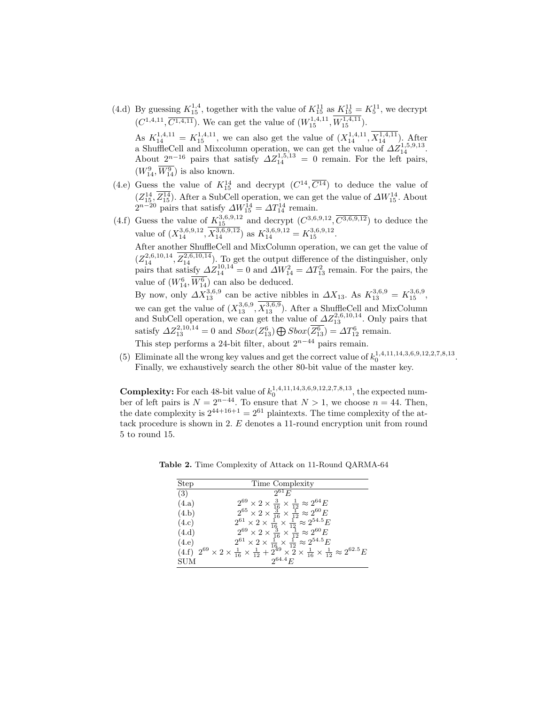(4.d) By guessing  $K_{15}^{1,4}$ , together with the value of  $K_{15}^{11}$  as  $K_{15}^{11} = K_5^{11}$ , we decrypt  $(C^{1,4,11}, \overline{C^{1,4,11}})$ . We can get the value of  $(W^{1,4,11}_{15}, W^{1,4,11}_{15})$ .

As  $K_{14}^{1,4,11} = K_{15}^{1,4,11}$ , we can also get the value of  $(X_{14}^{1,4,11}, X_{14}^{1,4,11})$ . After a ShuffleCell and Mixcolumn operation, we can get the value of  $\Delta Z_{14}^{1,5,9,13}$ . About  $2^{n-16}$  pairs that satisfy  $\Delta Z_{14}^{1,5,13} = 0$  remain. For the left pairs,  $(W_{14}^9, \overline{W_{14}^9})$  is also known.

- (4.e) Guess the value of  $K_{15}^{14}$  and decrypt  $(C^{14}, \overline{C^{14}})$  to deduce the value of  $(Z_{15}^{14}, \overline{Z_{15}^{14}})$ . After a SubCell operation, we can get the value of  $\Delta W_{15}^{14}$ . About  $2^{n-20}$  pairs that satisfy  $\Delta W_{15}^{14} = \Delta T_{14}^{14}$  remain.
- (4.f) Guess the value of  $K_{15}^{3,6,9,12}$  and decrypt  $(C^{3,6,9,12}, \overline{C^{3,6,9,12}})$  to deduce the value of  $(X_{14}^{3,6,9,12}, \overline{X_{14}^{3,6,9,12}})$  as  $K_{14}^{3,6,9,12} = K_{15}^{3,6,9,12}$ .

After another ShuffleCell and MixColumn operation, we can get the value of  $(Z_{14}^{2,6,10,14}, Z_{14}^{2,6,10,14})$ . To get the output difference of the distinguisher, only pairs that satisfy  $\Delta Z_{14}^{10,14} = 0$  and  $\Delta W_{14}^2 = \Delta T_{13}^2$  remain. For the pairs, the value of  $(W_{14}^6, \overline{W_{14}^6})$  can also be deduced.

By now, only  $\Delta X_{13}^{3,6,9}$  can be active nibbles in  $\Delta X_{13}$ . As  $K_{13}^{3,6,9} = K_{15}^{3,6,9}$ , we can get the value of  $(X_{13}^{3,6,9}, \overline{X_{13}^{3,6,9}})$ . After a ShuffleCell and MixColumn and SubCell operation, we can get the value of  $\Delta Z_{13}^{2,6,10,14}$ . Only pairs that satisfy  $\Delta Z_{13}^{2,10,14} = 0$  and  $Sbox(Z_{13}^6) \bigoplus Sbox(\overline{Z_{13}^6}) = \Delta T_{12}^6$  remain.

This step performs a 24-bit filter, about  $2^{n-44}$  pairs remain.

(5) Eliminate all the wrong key values and get the correct value of  $k_0^{1,4,11,14,3,6,9,12,2,7,8,13}$ . Finally, we exhaustively search the other 80-bit value of the master key.

**Complexity:** For each 48-bit value of  $k_0^{1,4,11,14,3,6,9,12,2,7,8,13}$ , the expected number of left pairs is  $N = 2^{n-44}$ . To ensure that  $N > 1$ , we choose  $n = 44$ . Then, the date complexity is  $2^{44+16+1} = 2^{61}$  plaintexts. The time complexity of the attack procedure is shown in 2. E denotes a 11-round encryption unit from round 5 to round 15.

| Step  | Time Complexity                                                                                                                                                                                                                                                                                                        |
|-------|------------------------------------------------------------------------------------------------------------------------------------------------------------------------------------------------------------------------------------------------------------------------------------------------------------------------|
| (3)   | $2^{61}E$                                                                                                                                                                                                                                                                                                              |
| (4.a) |                                                                                                                                                                                                                                                                                                                        |
| (4.b) |                                                                                                                                                                                                                                                                                                                        |
| (4.c) | $2^{69} \times 2 \times \frac{3}{16} \times \frac{1}{12} \approx 2^{64} E$<br>$2^{65} \times 2 \times \frac{3}{16} \times \frac{1}{12} \approx 2^{60} E$<br>$2^{61} \times 2 \times \frac{1}{16} \times \frac{1}{12} \approx 2^{54.5} E$<br>$2^{69} \times 2 \times \frac{3}{16} \times \frac{1}{12} \approx 2^{60} E$ |
| (4.d) |                                                                                                                                                                                                                                                                                                                        |
| (4.e) | $2^{61} \times 2 \times \frac{1}{16} \times \frac{1}{12} \approx 2^{54.5} E$                                                                                                                                                                                                                                           |
|       | $(4.f)$ $2^{69} \times 2 \times \frac{1}{16} \times \frac{1}{12} + 2^{49} \times 2 \times \frac{1}{16} \times \frac{1}{12} \approx 2^{62.5} E$                                                                                                                                                                         |
| SUM   | $2^{64.4} E$                                                                                                                                                                                                                                                                                                           |

Table 2. Time Complexity of Attack on 11-Round QARMA-64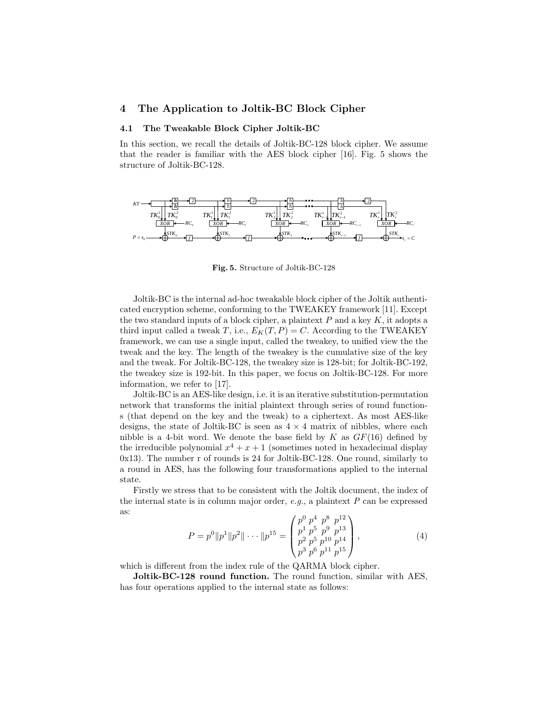# 4 The Application to Joltik-BC Block Cipher

#### 4.1 The Tweakable Block Cipher Joltik-BC

In this section, we recall the details of Joltik-BC-128 block cipher. We assume that the reader is familiar with the AES block cipher [16]. Fig. 5 shows the structure of Joltik-BC-128.



Fig. 5. Structure of Joltik-BC-128

Joltik-BC is the internal ad-hoc tweakable block cipher of the Joltik authenticated encryption scheme, conforming to the TWEAKEY framework [11]. Except the two standard inputs of a block cipher, a plaintext  $P$  and a key  $K$ , it adopts a third input called a tweak T, i.e.,  $E_K(T, P) = C$ . According to the TWEAKEY framework, we can use a single input, called the tweakey, to unified view the the tweak and the key. The length of the tweakey is the cumulative size of the key and the tweak. For Joltik-BC-128, the tweakey size is 128-bit; for Joltik-BC-192, the tweakey size is 192-bit. In this paper, we focus on Joltik-BC-128. For more information, we refer to [17].

Joltik-BC is an AES-like design, i.e. it is an iterative substitution-permutation network that transforms the initial plaintext through series of round functions (that depend on the key and the tweak) to a ciphertext. As most AES-like designs, the state of Joltik-BC is seen as  $4 \times 4$  matrix of nibbles, where each nibble is a 4-bit word. We denote the base field by K as  $GF(16)$  defined by the irreducible polynomial  $x^4 + x + 1$  (sometimes noted in hexadecimal display 0x13). The number r of rounds is 24 for Joltik-BC-128. One round, similarly to a round in AES, has the following four transformations applied to the internal state.

Firstly we stress that to be consistent with the Joltik document, the index of the internal state is in column major order,  $e.g.,$  a plaintext  $P$  can be expressed as:

$$
P = p^{0} \|p^{1}\|p^{2}\| \cdots \|p^{15} = \begin{pmatrix} p^{0} p^{4} & p^{8} & p^{12} \\ p^{1} p^{5} & p^{9} & p^{13} \\ p^{2} p^{5} & p^{10} & p^{14} \\ p^{3} p^{6} & p^{11} & p^{15} \end{pmatrix},
$$
\n(4)

which is different from the index rule of the QARMA block cipher.

Joltik-BC-128 round function. The round function, similar with AES, has four operations applied to the internal state as follows: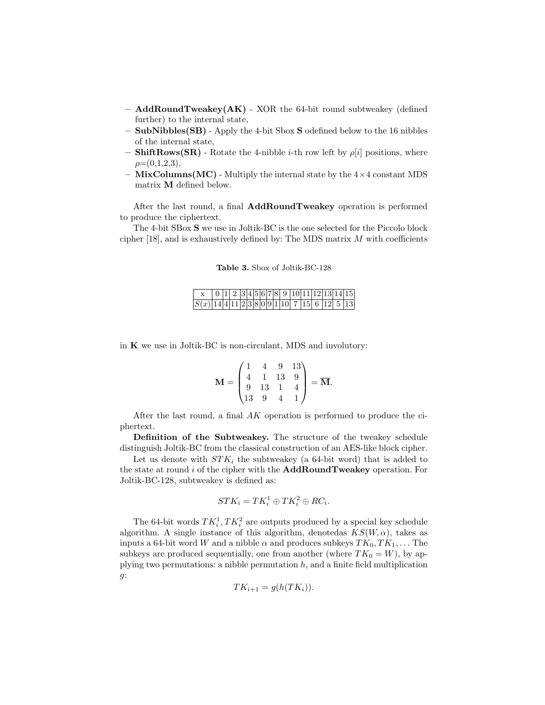- AddRoundTweakey(AK) XOR the 64-bit round subtweakey (defined further) to the internal state,
- $-$  SubNibbles(SB) Apply the 4-bit Sbox S odefined below to the 16 nibbles of the internal state,
- **ShiftRows(SR)** Rotate the 4-nibble *i*-th row left by  $\rho[i]$  positions, where  $\rho=(0,1,2,3),$
- $-$  MixColumns(MC) Multiply the internal state by the  $4\times4$  constant MDS matrix M defined below.

After the last round, a final AddRoundTweakey operation is performed to produce the ciphertext.

The 4-bit SBox S we use in Joltik-BC is the one selected for the Piccolo block cipher  $[18]$ , and is exhaustively defined by: The MDS matrix  $M$  with coefficients

Table 3. Sbox of Joltik-BC-128

|  |  |  |  |  |  |  |  | $0 1 2 3 4 5 6 7 8 9 10 11 12 13 14 15 $ |
|--|--|--|--|--|--|--|--|------------------------------------------|
|  |  |  |  |  |  |  |  |                                          |

in K we use in Joltik-BC is non-circulant, MDS and involutory:

$$
\mathbf{M} = \begin{pmatrix} 1 & 4 & 9 & 13 \\ 4 & 1 & 13 & 9 \\ 9 & 13 & 1 & 4 \\ 13 & 9 & 4 & 1 \end{pmatrix} = \overline{\mathbf{M}}.
$$

After the last round, a final AK operation is performed to produce the ciphertext.

Definition of the Subtweakey. The structure of the tweakey schedule distinguish Joltik-BC from the classical construction of an AES-like block cipher.

Let us denote with  $STK_i$  the subtweakey (a 64-bit word) that is added to the state at round  $i$  of the cipher with the  $\mathbf{AddRoundTweakey}$  operation. For Joltik-BC-128, subtweakey is defined as:

$$
STK_i = TK_i^1 \oplus TK_i^2 \oplus RC_i.
$$

The 64-bit words  $TK_i^1, TK_i^2$  are outputs produced by a special key schedule algorithm. A single instance of this algorithm, denoted as  $KS(W, \alpha)$ , takes as inputs a 64-bit word W and a nibble  $\alpha$  and produces subkeys  $TK_0, TK_1, \ldots$  The subkeys are produced sequentially, one from another (where  $TK_0 = W$ ), by applying two permutations: a nibble permutation  $h$ , and a finite field multiplication g:

$$
TK_{i+1} = g(h(TK_i)).
$$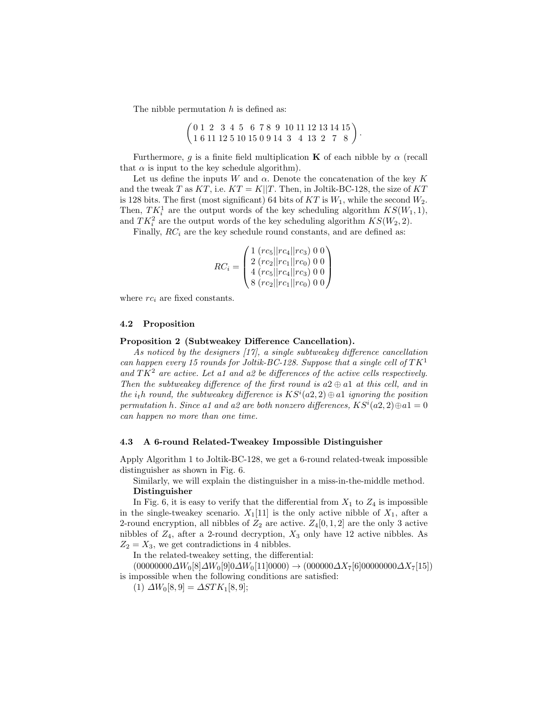The nibble permutation  $h$  is defined as:

$$
\begin{pmatrix} 0 & 1 & 2 & 3 & 4 & 5 & 6 & 7 & 8 & 9 & 10 & 11 & 12 & 13 & 14 & 15 \\ 1 & 6 & 11 & 12 & 5 & 10 & 15 & 0 & 9 & 14 & 3 & 4 & 13 & 2 & 7 & 8 \end{pmatrix}.
$$

Furthermore, g is a finite field multiplication **K** of each nibble by  $\alpha$  (recall that  $\alpha$  is input to the key schedule algorithm).

Let us define the inputs W and  $\alpha$ . Denote the concatenation of the key K and the tweak T as  $KT$ , i.e.  $KT = K||T$ . Then, in Joltik-BC-128, the size of  $KT$ is 128 bits. The first (most significant) 64 bits of  $KT$  is  $W_1$ , while the second  $W_2$ . Then,  $TK_i^1$  are the output words of the key scheduling algorithm  $KS(W_1, 1)$ , and  $TK_i^2$  are the output words of the key scheduling algorithm  $KS(W_2, 2)$ .

Finally,  $RC_i$  are the key schedule round constants, and are defined as:

$$
RC_i = \begin{pmatrix} 1 \ (rc_5||rc_4||rc_3) \ 0 \ 0 \\ 2 \ (rc_2||rc_1||rc_0) \ 0 \ 0 \\ 4 \ (rc_5||rc_4||rc_3) \ 0 \ 0 \\ 8 \ (rc_2||rc_1||rc_0) \ 0 \ 0 \end{pmatrix}
$$

where  $rc_i$  are fixed constants.

#### 4.2 Proposition

#### Proposition 2 (Subtweakey Difference Cancellation).

As noticed by the designers [17], a single subtweakey difference cancellation can happen every 15 rounds for Joltik-BC-128. Suppose that a single cell of  $TK^1$ and  $TK^2$  are active. Let a1 and a2 be differences of the active cells respectively. Then the subtweakey difference of the first round is  $a2 \oplus a1$  at this cell, and in the  $i_t h$  round, the subtweakey difference is  $KS^i(a2, 2) \oplus a1$  ignoring the position permutation h. Since a1 and a2 are both nonzero differences,  $KS^{i}(a2, 2) \oplus a1 = 0$ can happen no more than one time.

#### 4.3 A 6-round Related-Tweakey Impossible Distinguisher

Apply Algorithm 1 to Joltik-BC-128, we get a 6-round related-tweak impossible distinguisher as shown in Fig. 6.

Similarly, we will explain the distinguisher in a miss-in-the-middle method. Distinguisher

In Fig. 6, it is easy to verify that the differential from  $X_1$  to  $Z_4$  is impossible in the single-tweakey scenario.  $X_1[11]$  is the only active nibble of  $X_1$ , after a 2-round encryption, all nibbles of  $Z_2$  are active.  $Z_4[0,1,2]$  are the only 3 active nibbles of  $Z_4$ , after a 2-round decryption,  $X_3$  only have 12 active nibbles. As  $Z_2 = X_3$ , we get contradictions in 4 nibbles.

In the related-tweakey setting, the differential:

 $(00000000\Delta W_0[8]\Delta W_0[9]0\Delta W_0[11]0000) \rightarrow (000000\Delta X_7[6]00000000\Delta X_7[15])$ is impossible when the following conditions are satisfied:

(1)  $\Delta W_0[8,9] = \Delta STK_1[8,9];$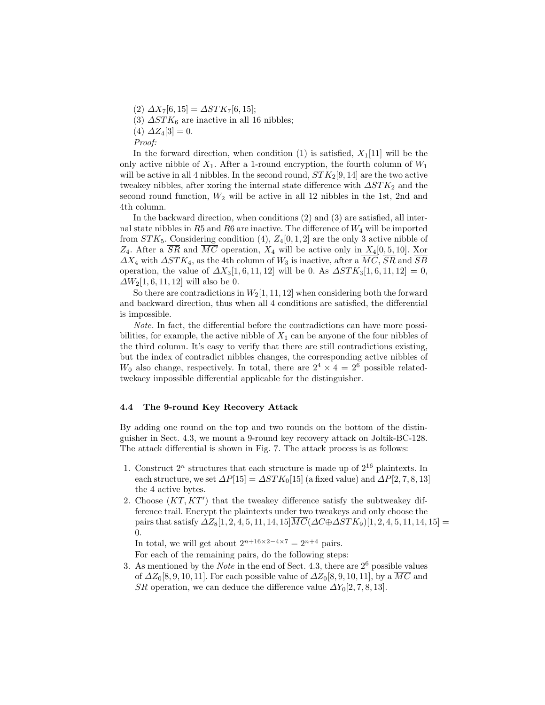$(2) \ \Delta X_7[6,15] = \Delta STK_7[6,15];$ 

(3)  $\Delta STK_6$  are inactive in all 16 nibbles;

(4)  $\Delta Z_4[3] = 0.$ 

Proof:

In the forward direction, when condition (1) is satisfied,  $X_1[11]$  will be the only active nibble of  $X_1$ . After a 1-round encryption, the fourth column of  $W_1$ will be active in all 4 nibbles. In the second round,  $STK_2[9, 14]$  are the two active tweakey nibbles, after xoring the internal state difference with  $\Delta STK_2$  and the second round function,  $W_2$  will be active in all 12 nibbles in the 1st, 2nd and 4th column.

In the backward direction, when conditions (2) and (3) are satisfied, all internal state nibbles in  $R5$  and  $R6$  are inactive. The difference of  $W_4$  will be imported from  $STK_5$ . Considering condition (4),  $Z_4[0,1,2]$  are the only 3 active nibble of  $Z_4$ . After a  $\overline{SR}$  and  $\overline{MC}$  operation,  $X_4$  will be active only in  $X_4[0, 5, 10]$ . Xor  $\Delta X_4$  with  $\Delta STK_4$ , as the 4th column of  $W_3$  is inactive, after a  $\overline{MC}$ ,  $\overline{SR}$  and  $\overline{SB}$ operation, the value of  $\Delta X_3[1, 6, 11, 12]$  will be 0. As  $\Delta STK_3[1, 6, 11, 12] = 0$ ,  $\Delta W_2[1,6,11,12]$  will also be 0.

So there are contradictions in  $W_2[1, 11, 12]$  when considering both the forward and backward direction, thus when all 4 conditions are satisfied, the differential is impossible.

Note. In fact, the differential before the contradictions can have more possibilities, for example, the active nibble of  $X_1$  can be anyone of the four nibbles of the third column. It's easy to verify that there are still contradictions existing, but the index of contradict nibbles changes, the corresponding active nibbles of  $W_0$  also change, respectively. In total, there are  $2^4 \times 4 = 2^6$  possible relatedtwekaey impossible differential applicable for the distinguisher.

### 4.4 The 9-round Key Recovery Attack

By adding one round on the top and two rounds on the bottom of the distinguisher in Sect. 4.3, we mount a 9-round key recovery attack on Joltik-BC-128. The attack differential is shown in Fig. 7. The attack process is as follows:

- 1. Construct  $2^n$  structures that each structure is made up of  $2^{16}$  plaintexts. In each structure, we set  $\Delta P[15] = \Delta STK_0[15]$  (a fixed value) and  $\Delta P[2, 7, 8, 13]$ the 4 active bytes.
- 2. Choose  $(KT, KT')$  that the tweakey difference satisfy the subtweakey difference trail. Encrypt the plaintexts under two tweakeys and only choose the pairs that satisfy  $\Delta Z_8[1, 2, 4, 5, 11, 14, 15] \overline{MC}(\Delta C \oplus \Delta STK_9)[1, 2, 4, 5, 11, 14, 15] =$ 0.

In total, we will get about  $2^{n+16 \times 2-4 \times 7} = 2^{n+4}$  pairs.

For each of the remaining pairs, do the following steps:

3. As mentioned by the *Note* in the end of Sect. 4.3, there are  $2^6$  possible values of  $\Delta Z_0[8, 9, 10, 11]$ . For each possible value of  $\Delta Z_0[8, 9, 10, 11]$ , by a  $\overline{MC}$  and  $\overline{SR}$  operation, we can deduce the difference value  $\Delta Y_0[2, 7, 8, 13].$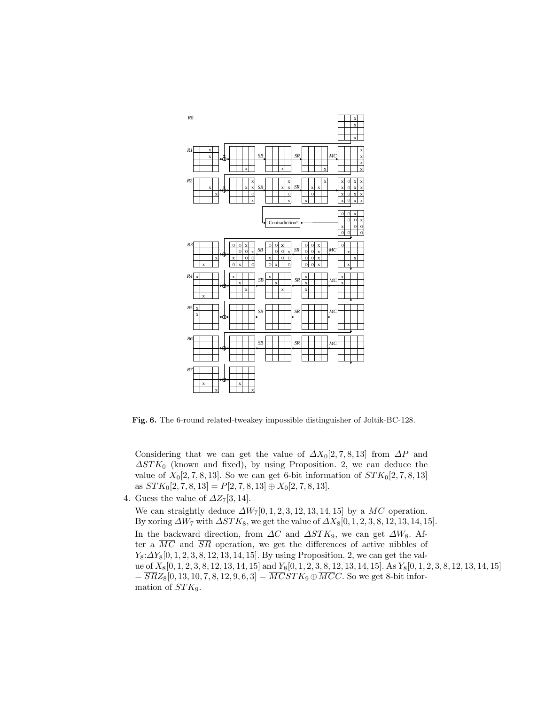

Fig. 6. The 6-round related-tweakey impossible distinguisher of Joltik-BC-128.

Considering that we can get the value of  $\Delta X_0[2, 7, 8, 13]$  from  $\Delta P$  and  $\Delta STK_0$  (known and fixed), by using Proposition. 2, we can deduce the value of  $X_0[2, 7, 8, 13]$ . So we can get 6-bit information of  $STK_0[2, 7, 8, 13]$ as  $STK_0[2, 7, 8, 13] = P[2, 7, 8, 13] \oplus X_0[2, 7, 8, 13].$ 

4. Guess the value of  $\Delta Z_7[3, 14]$ .

We can straightly deduce  $\Delta W_7[0, 1, 2, 3, 12, 13, 14, 15]$  by a MC operation. By xoring  $\Delta W_7$  with  $\Delta STK_8$ , we get the value of  $\Delta X_8[0, 1, 2, 3, 8, 12, 13, 14, 15]$ . In the backward direction, from  $\Delta C$  and  $\Delta STK_9$ , we can get  $\Delta W_8$ . After a  $\overline{MC}$  and  $\overline{SR}$  operation, we get the differences of active nibbles of  $Y_8: \Delta Y_8[0, 1, 2, 3, 8, 12, 13, 14, 15]$ . By using Proposition. 2, we can get the value of  $X_8[0, 1, 2, 3, 8, 12, 13, 14, 15]$  and  $Y_8[0, 1, 2, 3, 8, 12, 13, 14, 15]$ . As  $Y_8[0, 1, 2, 3, 8, 12, 13, 14, 15]$  $=\overline{SR}Z_8[0, 13, 10, 7, 8, 12, 9, 6, 3] = \overline{MCSTK}_9 \oplus \overline{MCC}$ . So we get 8-bit information of  $STK<sub>9</sub>$ .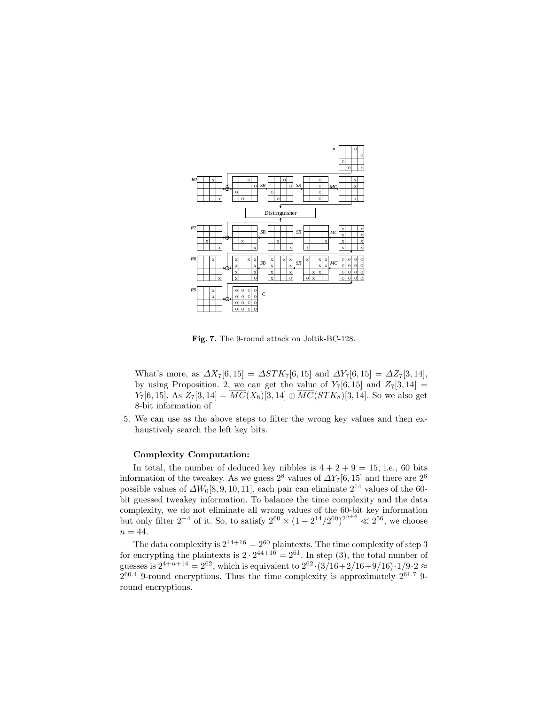

Fig. 7. The 9-round attack on Joltik-BC-128.

What's more, as  $\Delta X_7[6, 15] = \Delta STK_7[6, 15]$  and  $\Delta Y_7[6, 15] = \Delta Z_7[3, 14]$ , by using Proposition. 2, we can get the value of  $Y_7[6, 15]$  and  $Z_7[3, 14] =$  $Y_7[6, 15]$ . As  $Z_7[3, 14] = \overline{MC}(X_8)[3, 14] \oplus \overline{MC}(STK_8)[3, 14]$ . So we also get 8-bit information of

5. We can use as the above steps to filter the wrong key values and then exhaustively search the left key bits.

### Complexity Computation:

In total, the number of deduced key nibbles is  $4 + 2 + 9 = 15$ , i.e., 60 bits information of the tweakey. As we guess 2<sup>8</sup> values of  $\Delta Y_7[6, 15]$  and there are 2<sup>6</sup> possible values of  $\Delta W_0[8, 9, 10, 11]$ , each pair can eliminate  $2^{14}$  values of the 60bit guessed tweakey information. To balance the time complexity and the data complexity, we do not eliminate all wrong values of the 60-bit key information but only filter  $2^{-4}$  of it. So, to satisfy  $2^{60} \times (1 - 2^{14}/2^{60})^{2^{n+4}} \ll 2^{56}$ , we choose  $n = 44$ .

The data complexity is  $2^{44+16} = 2^{60}$  plaintexts. The time complexity of step 3 for encrypting the plaintexts is  $2 \cdot 2^{44+16} = 2^{61}$ . In step (3), the total number of guesses is  $2^{4+n+14} = 2^{62}$ , which is equivalent to  $2^{62} \cdot (3/16 + 2/16 + 9/16) \cdot 1/9 \cdot 2 \approx$  $2^{60.4}$  9-round encryptions. Thus the time complexity is approximately  $2^{61.7}$  9round encryptions.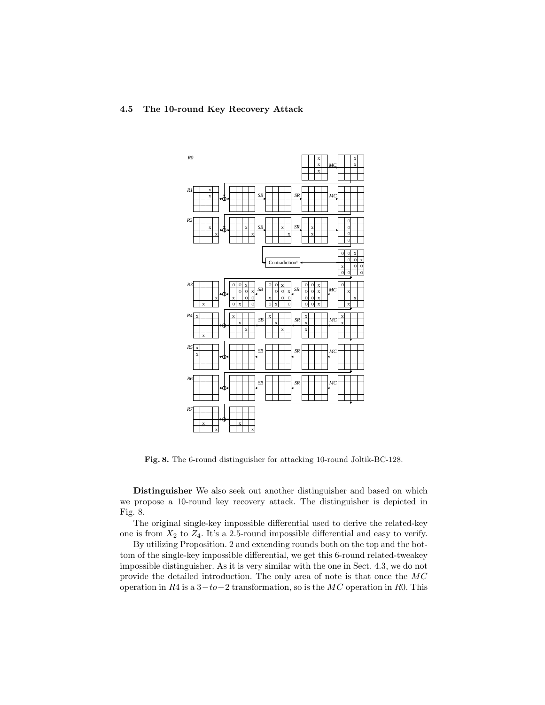# 4.5 The 10-round Key Recovery Attack



Fig. 8. The 6-round distinguisher for attacking 10-round Joltik-BC-128.

Distinguisher We also seek out another distinguisher and based on which we propose a 10-round key recovery attack. The distinguisher is depicted in Fig. 8.

The original single-key impossible differential used to derive the related-key one is from  $X_2$  to  $Z_4$ . It's a 2.5-round impossible differential and easy to verify.

By utilizing Proposition. 2 and extending rounds both on the top and the bottom of the single-key impossible differential, we get this 6-round related-tweakey impossible distinguisher. As it is very similar with the one in Sect. 4.3, we do not provide the detailed introduction. The only area of note is that once the MC operation in R4 is a  $3-to-2$  transformation, so is the MC operation in R0. This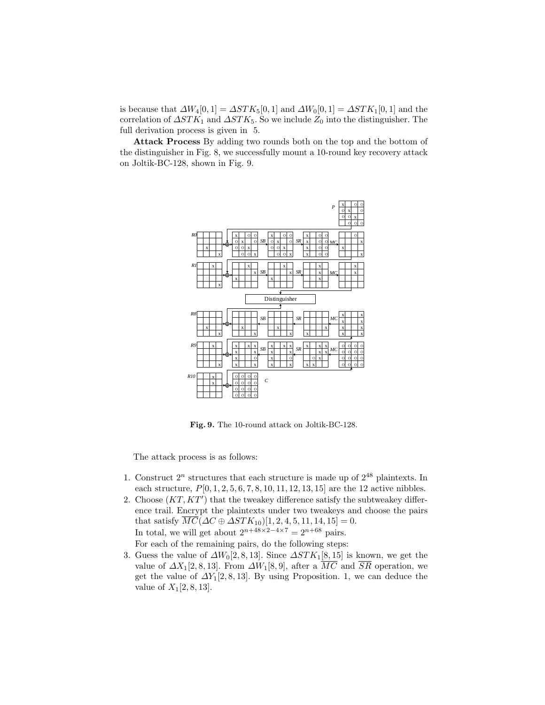is because that  $\Delta W_4[0, 1] = \Delta STK_5[0, 1]$  and  $\Delta W_0[0, 1] = \Delta STK_1[0, 1]$  and the correlation of  $\Delta STK_1$  and  $\Delta STK_5$ . So we include  $Z_0$  into the distinguisher. The full derivation process is given in 5.

Attack Process By adding two rounds both on the top and the bottom of the distinguisher in Fig. 8, we successfully mount a 10-round key recovery attack on Joltik-BC-128, shown in Fig. 9.



Fig. 9. The 10-round attack on Joltik-BC-128.

The attack process is as follows:

- 1. Construct  $2^n$  structures that each structure is made up of  $2^{48}$  plaintexts. In each structure,  $P[0, 1, 2, 5, 6, 7, 8, 10, 11, 12, 13, 15]$  are the 12 active nibbles.
- 2. Choose  $(KT, KT')$  that the tweakey difference satisfy the subtweakey difference trail. Encrypt the plaintexts under two tweakeys and choose the pairs that satisfy  $\overline{MC}(\Delta C \oplus \Delta STK_{10})[1, 2, 4, 5, 11, 14, 15] = 0.$ In total, we will get about  $2^{n+48\times2-4\times7} = 2^{n+68}$  pairs. For each of the remaining pairs, do the following steps:
- 3. Guess the value of  $\Delta W_0[2,8,13]$ . Since  $\Delta STK_1[8,15]$  is known, we get the value of  $\Delta X_1[2, 8, 13]$ . From  $\Delta W_1[8, 9]$ , after a  $\overline{MC}$  and  $\overline{SR}$  operation, we get the value of  $\Delta Y_1[2,8,13]$ . By using Proposition. 1, we can deduce the value of  $X_1[2, 8, 13]$ .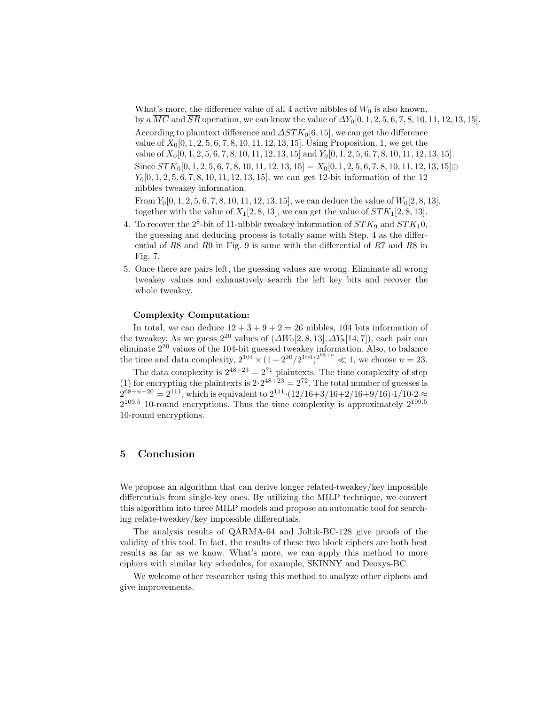What's more, the difference value of all 4 active nibbles of  $W_0$  is also known, by a  $MC$  and  $SR$  operation, we can know the value of  $\Delta Y_0[0, 1, 2, 5, 6, 7, 8, 10, 11, 12, 13, 15]$ . According to plaintext difference and  $\Delta STK_0[6, 15]$ , we can get the difference value of  $X_0[0, 1, 2, 5, 6, 7, 8, 10, 11, 12, 13, 15]$ . Using Proposition. 1, we get the value of  $X_0[0, 1, 2, 5, 6, 7, 8, 10, 11, 12, 13, 15]$  and  $Y_0[0, 1, 2, 5, 6, 7, 8, 10, 11, 12, 13, 15]$ . Since  $STK_0[0, 1, 2, 5, 6, 7, 8, 10, 11, 12, 13, 15] = X_0[0, 1, 2, 5, 6, 7, 8, 10, 11, 12, 13, 15] \oplus$  $Y_0[0, 1, 2, 5, 6, 7, 8, 10, 11, 12, 13, 15]$ , we can get 12-bit information of the 12 nibbles tweakey information.

From  $Y_0[0, 1, 2, 5, 6, 7, 8, 10, 11, 12, 13, 15]$ , we can deduce the value of  $W_0[2, 8, 13]$ , together with the value of  $X_1[2, 8, 13]$ , we can get the value of  $STK_1[2, 8, 13]$ .

- 4. To recover the  $2^8$ -bit of 11-nibble tweakey information of  $STK_9$  and  $STK_10$ , the guessing and deducing process is totally same with Step. 4 as the differential of R8 and R9 in Fig. 9 is same with the differential of R7 and R8 in Fig. 7.
- 5. Once there are pairs left, the guessing values are wrong. Eliminate all wrong tweakey values and exhaustively search the left key bits and recover the whole tweakey.

#### Complexity Computation:

In total, we can deduce  $12 + 3 + 9 + 2 = 26$  nibbles, 104 bits information of the tweakey. As we guess  $2^{20}$  values of  $(\Delta W_0[2, 8, 13], \Delta Y_8[14, 7])$ , each pair can eliminate 2<sup>20</sup> values of the 104-bit guessed tweakey information. Also, to balance the time and data complexity,  $2^{104} \times (1 - 2^{20}/2^{104})^{2^{68+n}} \ll 1$ , we choose  $n = 23$ .

The data complexity is  $2^{48+23} = 2^{71}$  plaintexts. The time complexity of step (1) for encrypting the plaintexts is  $2 \cdot 2^{48+23} = 2^{72}$ . The total number of guesses is  $2^{68+n+20} = 2^{111}$ , which is equivalent to  $2^{111} \cdot (12/16+3/16+2/16+9/16) \cdot 1/10 \cdot 2 \approx$  $2^{109.5}$  10-round encryptions. Thus the time complexity is approximately  $2^{109.5}$ 10-round encryptions.

# 5 Conclusion

We propose an algorithm that can derive longer related-tweakey/key impossible differentials from single-key ones. By utilizing the MILP technique, we convert this algorithm into three MILP models and propose an automatic tool for searching relate-tweakey/key impossible differentials.

The analysis results of QARMA-64 and Joltik-BC-128 give proofs of the validity of this tool. In fact, the results of these two block ciphers are both best results as far as we know. What's more, we can apply this method to more ciphers with similar key schedules, for example, SKINNY and Deoxys-BC.

We welcome other researcher using this method to analyze other ciphers and give improvements.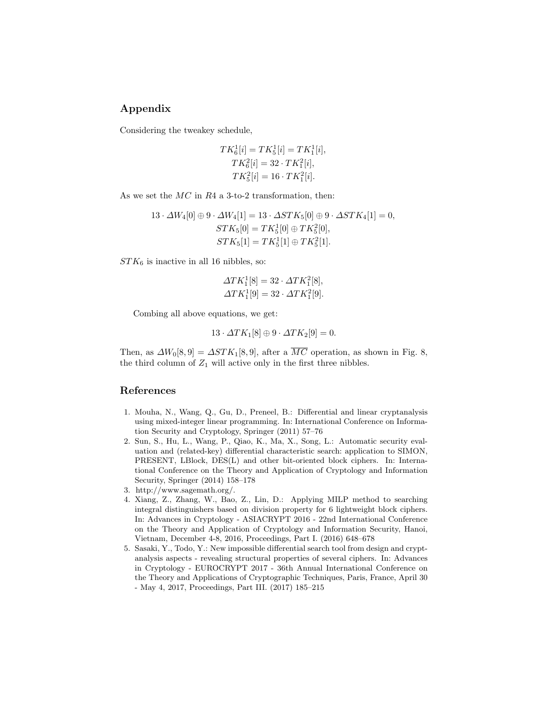# Appendix

Considering the tweakey schedule,

$$
TK_6^1[i] = TK_5^1[i] = TK_1^1[i],
$$
  
\n
$$
TK_6^2[i] = 32 \cdot TK_1^2[i],
$$
  
\n
$$
TK_5^2[i] = 16 \cdot TK_1^2[i].
$$

As we set the  $MC$  in  $R4$  a 3-to-2 transformation, then:

$$
13 \cdot \Delta W_4[0] \oplus 9 \cdot \Delta W_4[1] = 13 \cdot \Delta STK_5[0] \oplus 9 \cdot \Delta STK_4[1] = 0,
$$
  

$$
STK_5[0] = TK_5^1[0] \oplus TK_5^2[0],
$$
  

$$
STK_5[1] = TK_5^1[1] \oplus TK_5^2[1].
$$

 $STK_6$  is inactive in all 16 nibbles, so:

$$
\Delta T K_1^1[8] = 32 \cdot \Delta T K_1^2[8],
$$
  

$$
\Delta T K_1^1[9] = 32 \cdot \Delta T K_1^2[9].
$$

Combing all above equations, we get:

 $13 \cdot \Delta T K_1[8] \oplus 9 \cdot \Delta T K_2[9] = 0.$ 

Then, as  $\Delta W_0[8, 9] = \Delta STK_1[8, 9]$ , after a  $\overline{MC}$  operation, as shown in Fig. 8, the third column of  $Z_1$  will active only in the first three nibbles.

# References

- 1. Mouha, N., Wang, Q., Gu, D., Preneel, B.: Differential and linear cryptanalysis using mixed-integer linear programming. In: International Conference on Information Security and Cryptology, Springer (2011) 57–76
- 2. Sun, S., Hu, L., Wang, P., Qiao, K., Ma, X., Song, L.: Automatic security evaluation and (related-key) differential characteristic search: application to SIMON, PRESENT, LBlock, DES(L) and other bit-oriented block ciphers. In: International Conference on the Theory and Application of Cryptology and Information Security, Springer (2014) 158–178
- 3. http://www.sagemath.org/.
- 4. Xiang, Z., Zhang, W., Bao, Z., Lin, D.: Applying MILP method to searching integral distinguishers based on division property for 6 lightweight block ciphers. In: Advances in Cryptology - ASIACRYPT 2016 - 22nd International Conference on the Theory and Application of Cryptology and Information Security, Hanoi, Vietnam, December 4-8, 2016, Proceedings, Part I. (2016) 648–678
- 5. Sasaki, Y., Todo, Y.: New impossible differential search tool from design and cryptanalysis aspects - revealing structural properties of several ciphers. In: Advances in Cryptology - EUROCRYPT 2017 - 36th Annual International Conference on the Theory and Applications of Cryptographic Techniques, Paris, France, April 30 - May 4, 2017, Proceedings, Part III. (2017) 185–215